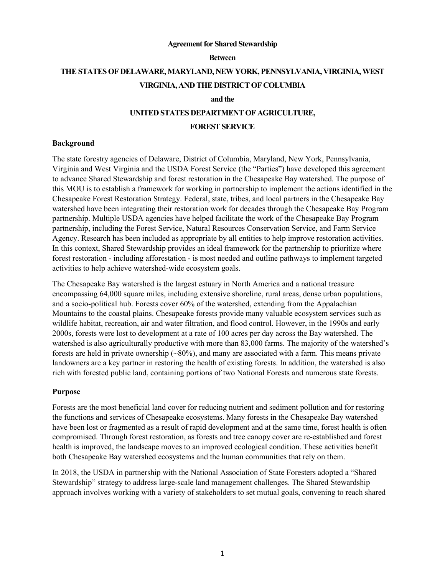#### **Agreement for Shared Stewardship**

#### **Between**

# **THE STATES OF DELAWARE, MARYLAND, NEW YORK, PENNSYLVANIA, VIRGINIA, WEST VIRGINIA, AND THE DISTRICT OF COLUMBIA**

#### **and the**

#### **UNITED STATES DEPARTMENT OF AGRICULTURE,**

#### **FOREST SERVICE**

## **Background**

The state forestry agencies of Delaware, District of Columbia, Maryland, New York, Pennsylvania, Virginia and West Virginia and the USDA Forest Service (the "Parties") have developed this agreement to advance Shared Stewardship and forest restoration in the Chesapeake Bay watershed. The purpose of this MOU is to establish a framework for working in partnership to implement the actions identified in the Chesapeake Forest Restoration Strategy. Federal, state, tribes, and local partners in the Chesapeake Bay watershed have been integrating their restoration work for decades through the Chesapeake Bay Program partnership. Multiple USDA agencies have helped facilitate the work of the Chesapeake Bay Program partnership, including the Forest Service, Natural Resources Conservation Service, and Farm Service Agency. Research has been included as appropriate by all entities to help improve restoration activities. In this context, Shared Stewardship provides an ideal framework for the partnership to prioritize where forest restoration - including afforestation - is most needed and outline pathways to implement targeted activities to help achieve watershed-wide ecosystem goals.

The Chesapeake Bay watershed is the largest estuary in North America and a national treasure encompassing 64,000 square miles, including extensive shoreline, rural areas, dense urban populations, and a socio-political hub. Forests cover 60% of the watershed, extending from the Appalachian Mountains to the coastal plains. Chesapeake forests provide many valuable ecosystem services such as wildlife habitat, recreation, air and water filtration, and flood control. However, in the 1990s and early 2000s, forests were lost to development at a rate of 100 acres per day across the Bay watershed. The watershed is also agriculturally productive with more than 83,000 farms. The majority of the watershed's forests are held in private ownership  $(\sim 80\%)$ , and many are associated with a farm. This means private landowners are a key partner in restoring the health of existing forests. In addition, the watershed is also rich with forested public land, containing portions of two National Forests and numerous state forests.

### **Purpose**

Forests are the most beneficial land cover for reducing nutrient and sediment pollution and for restoring the functions and services of Chesapeake ecosystems. Many forests in the Chesapeake Bay watershed have been lost or fragmented as a result of rapid development and at the same time, forest health is often compromised. Through forest restoration, as forests and tree canopy cover are re-established and forest health is improved, the landscape moves to an improved ecological condition. These activities benefit both Chesapeake Bay watershed ecosystems and the human communities that rely on them.

In 2018, the USDA in partnership with the National Association of State Foresters adopted a "Shared Stewardship" strategy to address large-scale land management challenges. The Shared Stewardship approach involves working with a variety of stakeholders to set mutual goals, convening to reach shared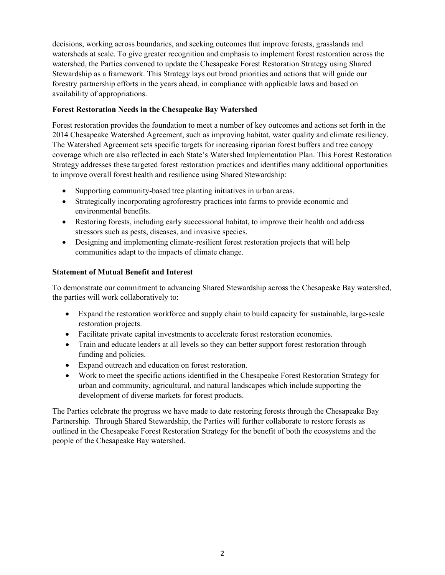decisions, working across boundaries, and seeking outcomes that improve forests, grasslands and watersheds at scale. To give greater recognition and emphasis to implement forest restoration across the watershed, the Parties convened to update the Chesapeake Forest Restoration Strategy using Shared Stewardship as a framework. This Strategy lays out broad priorities and actions that will guide our forestry partnership efforts in the years ahead, in compliance with applicable laws and based on availability of appropriations.

## **Forest Restoration Needs in the Chesapeake Bay Watershed**

Forest restoration provides the foundation to meet a number of key outcomes and actions set forth in the 2014 Chesapeake Watershed Agreement, such as improving habitat, water quality and climate resiliency. The Watershed Agreement sets specific targets for increasing riparian forest buffers and tree canopy coverage which are also reflected in each State's Watershed Implementation Plan. This Forest Restoration Strategy addresses these targeted forest restoration practices and identifies many additional opportunities to improve overall forest health and resilience using Shared Stewardship:

- Supporting community-based tree planting initiatives in urban areas.
- Strategically incorporating agroforestry practices into farms to provide economic and environmental benefits.
- Restoring forests, including early successional habitat, to improve their health and address stressors such as pests, diseases, and invasive species.
- Designing and implementing climate-resilient forest restoration projects that will help communities adapt to the impacts of climate change.

# **Statement of Mutual Benefit and Interest**

To demonstrate our commitment to advancing Shared Stewardship across the Chesapeake Bay watershed, the parties will work collaboratively to:

- Expand the restoration workforce and supply chain to build capacity for sustainable, large-scale restoration projects.
- Facilitate private capital investments to accelerate forest restoration economies.
- Train and educate leaders at all levels so they can better support forest restoration through funding and policies.
- Expand outreach and education on forest restoration.
- Work to meet the specific actions identified in the Chesapeake Forest Restoration Strategy for urban and community, agricultural, and natural landscapes which include supporting the development of diverse markets for forest products.

The Parties celebrate the progress we have made to date restoring forests through the Chesapeake Bay Partnership. Through Shared Stewardship, the Parties will further collaborate to restore forests as outlined in the Chesapeake Forest Restoration Strategy for the benefit of both the ecosystems and the people of the Chesapeake Bay watershed.